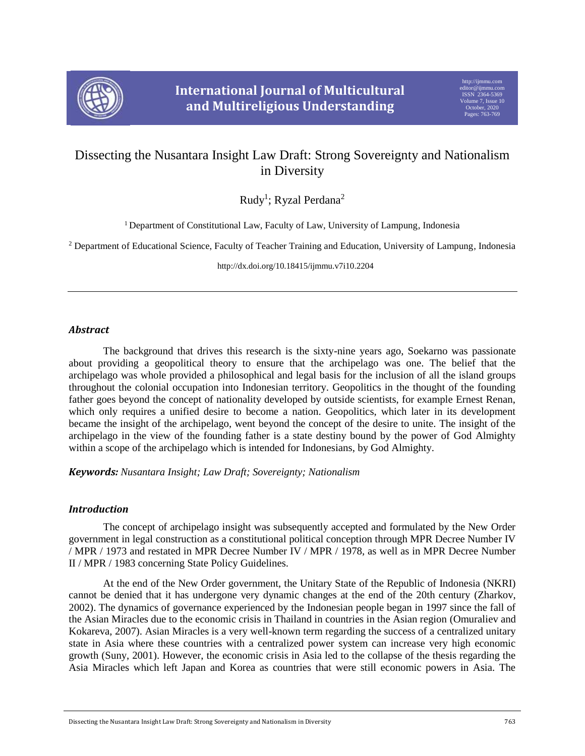

# Dissecting the Nusantara Insight Law Draft: Strong Sovereignty and Nationalism in Diversity

Rudy<sup>1</sup>; Ryzal Perdana<sup>2</sup>

<sup>1</sup> Department of Constitutional Law, Faculty of Law, University of Lampung, Indonesia

<sup>2</sup> Department of Educational Science, Faculty of Teacher Training and Education, University of Lampung, Indonesia

http://dx.doi.org/10.18415/ijmmu.v7i10.2204

## *Abstract*

The background that drives this research is the sixty-nine years ago, Soekarno was passionate about providing a geopolitical theory to ensure that the archipelago was one. The belief that the archipelago was whole provided a philosophical and legal basis for the inclusion of all the island groups throughout the colonial occupation into Indonesian territory. Geopolitics in the thought of the founding father goes beyond the concept of nationality developed by outside scientists, for example Ernest Renan, which only requires a unified desire to become a nation. Geopolitics, which later in its development became the insight of the archipelago, went beyond the concept of the desire to unite. The insight of the archipelago in the view of the founding father is a state destiny bound by the power of God Almighty within a scope of the archipelago which is intended for Indonesians, by God Almighty.

*Keywords: Nusantara Insight; Law Draft; Sovereignty; Nationalism*

# *Introduction*

The concept of archipelago insight was subsequently accepted and formulated by the New Order government in legal construction as a constitutional political conception through MPR Decree Number IV / MPR / 1973 and restated in MPR Decree Number IV / MPR / 1978, as well as in MPR Decree Number II / MPR / 1983 concerning State Policy Guidelines.

At the end of the New Order government, the Unitary State of the Republic of Indonesia (NKRI) cannot be denied that it has undergone very dynamic changes at the end of the 20th century (Zharkov, 2002). The dynamics of governance experienced by the Indonesian people began in 1997 since the fall of the Asian Miracles due to the economic crisis in Thailand in countries in the Asian region (Omuraliev and Kokareva, 2007). Asian Miracles is a very well-known term regarding the success of a centralized unitary state in Asia where these countries with a centralized power system can increase very high economic growth (Suny, 2001). However, the economic crisis in Asia led to the collapse of the thesis regarding the Asia Miracles which left Japan and Korea as countries that were still economic powers in Asia. The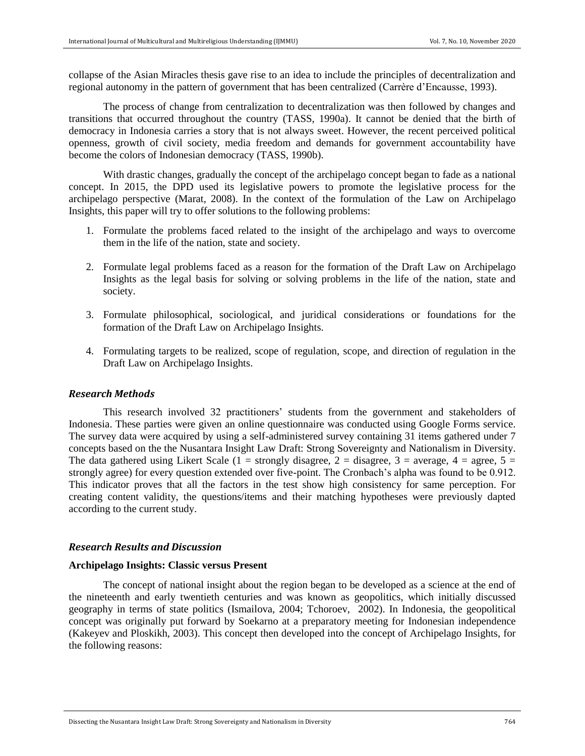collapse of the Asian Miracles thesis gave rise to an idea to include the principles of decentralization and regional autonomy in the pattern of government that has been centralized (Carrère d'Encausse, 1993).

The process of change from centralization to decentralization was then followed by changes and transitions that occurred throughout the country (TASS, 1990a). It cannot be denied that the birth of democracy in Indonesia carries a story that is not always sweet. However, the recent perceived political openness, growth of civil society, media freedom and demands for government accountability have become the colors of Indonesian democracy (TASS, 1990b).

With drastic changes, gradually the concept of the archipelago concept began to fade as a national concept. In 2015, the DPD used its legislative powers to promote the legislative process for the archipelago perspective (Marat, 2008). In the context of the formulation of the Law on Archipelago Insights, this paper will try to offer solutions to the following problems:

- 1. Formulate the problems faced related to the insight of the archipelago and ways to overcome them in the life of the nation, state and society.
- 2. Formulate legal problems faced as a reason for the formation of the Draft Law on Archipelago Insights as the legal basis for solving or solving problems in the life of the nation, state and society.
- 3. Formulate philosophical, sociological, and juridical considerations or foundations for the formation of the Draft Law on Archipelago Insights.
- 4. Formulating targets to be realized, scope of regulation, scope, and direction of regulation in the Draft Law on Archipelago Insights.

## *Research Methods*

This research involved 32 practitioners' students from the government and stakeholders of Indonesia. These parties were given an online questionnaire was conducted using Google Forms service. The survey data were acquired by using a self-administered survey containing 31 items gathered under 7 concepts based on the the Nusantara Insight Law Draft: Strong Sovereignty and Nationalism in Diversity. The data gathered using Likert Scale (1 = strongly disagree, 2 = disagree, 3 = average, 4 = agree, 5 = strongly agree) for every question extended over five-point. The Cronbach's alpha was found to be 0.912. This indicator proves that all the factors in the test show high consistency for same perception. For creating content validity, the questions/items and their matching hypotheses were previously dapted according to the current study.

## *Research Results and Discussion*

#### **Archipelago Insights: Classic versus Present**

The concept of national insight about the region began to be developed as a science at the end of the nineteenth and early twentieth centuries and was known as geopolitics, which initially discussed geography in terms of state politics (Ismailova, 2004; Tchoroev, 2002). In Indonesia, the geopolitical concept was originally put forward by Soekarno at a preparatory meeting for Indonesian independence (Kakeyev and Ploskikh, 2003). This concept then developed into the concept of Archipelago Insights, for the following reasons: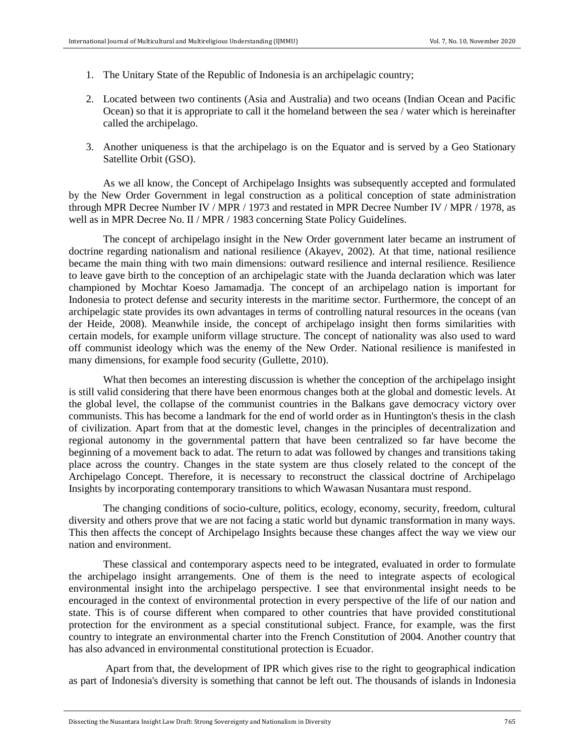- 1. The Unitary State of the Republic of Indonesia is an archipelagic country;
- 2. Located between two continents (Asia and Australia) and two oceans (Indian Ocean and Pacific Ocean) so that it is appropriate to call it the homeland between the sea / water which is hereinafter called the archipelago.
- 3. Another uniqueness is that the archipelago is on the Equator and is served by a Geo Stationary Satellite Orbit (GSO).

As we all know, the Concept of Archipelago Insights was subsequently accepted and formulated by the New Order Government in legal construction as a political conception of state administration through MPR Decree Number IV / MPR / 1973 and restated in MPR Decree Number IV / MPR / 1978, as well as in MPR Decree No. II / MPR / 1983 concerning State Policy Guidelines.

The concept of archipelago insight in the New Order government later became an instrument of doctrine regarding nationalism and national resilience (Akayev, 2002). At that time, national resilience became the main thing with two main dimensions: outward resilience and internal resilience. Resilience to leave gave birth to the conception of an archipelagic state with the Juanda declaration which was later championed by Mochtar Koeso Jamamadja. The concept of an archipelago nation is important for Indonesia to protect defense and security interests in the maritime sector. Furthermore, the concept of an archipelagic state provides its own advantages in terms of controlling natural resources in the oceans (van der Heide, 2008). Meanwhile inside, the concept of archipelago insight then forms similarities with certain models, for example uniform village structure. The concept of nationality was also used to ward off communist ideology which was the enemy of the New Order. National resilience is manifested in many dimensions, for example food security (Gullette, 2010).

What then becomes an interesting discussion is whether the conception of the archipelago insight is still valid considering that there have been enormous changes both at the global and domestic levels. At the global level, the collapse of the communist countries in the Balkans gave democracy victory over communists. This has become a landmark for the end of world order as in Huntington's thesis in the clash of civilization. Apart from that at the domestic level, changes in the principles of decentralization and regional autonomy in the governmental pattern that have been centralized so far have become the beginning of a movement back to adat. The return to adat was followed by changes and transitions taking place across the country. Changes in the state system are thus closely related to the concept of the Archipelago Concept. Therefore, it is necessary to reconstruct the classical doctrine of Archipelago Insights by incorporating contemporary transitions to which Wawasan Nusantara must respond.

The changing conditions of socio-culture, politics, ecology, economy, security, freedom, cultural diversity and others prove that we are not facing a static world but dynamic transformation in many ways. This then affects the concept of Archipelago Insights because these changes affect the way we view our nation and environment.

These classical and contemporary aspects need to be integrated, evaluated in order to formulate the archipelago insight arrangements. One of them is the need to integrate aspects of ecological environmental insight into the archipelago perspective. I see that environmental insight needs to be encouraged in the context of environmental protection in every perspective of the life of our nation and state. This is of course different when compared to other countries that have provided constitutional protection for the environment as a special constitutional subject. France, for example, was the first country to integrate an environmental charter into the French Constitution of 2004. Another country that has also advanced in environmental constitutional protection is Ecuador.

Apart from that, the development of IPR which gives rise to the right to geographical indication as part of Indonesia's diversity is something that cannot be left out. The thousands of islands in Indonesia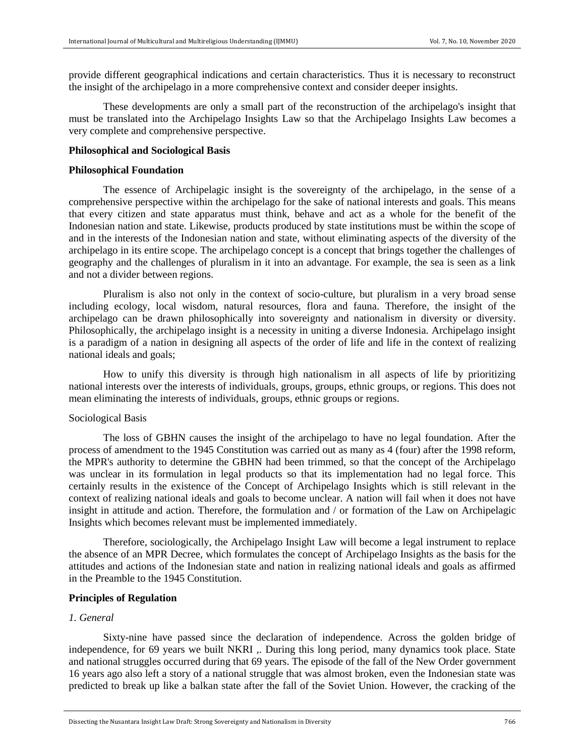provide different geographical indications and certain characteristics. Thus it is necessary to reconstruct the insight of the archipelago in a more comprehensive context and consider deeper insights.

These developments are only a small part of the reconstruction of the archipelago's insight that must be translated into the Archipelago Insights Law so that the Archipelago Insights Law becomes a very complete and comprehensive perspective.

#### **Philosophical and Sociological Basis**

#### **Philosophical Foundation**

The essence of Archipelagic insight is the sovereignty of the archipelago, in the sense of a comprehensive perspective within the archipelago for the sake of national interests and goals. This means that every citizen and state apparatus must think, behave and act as a whole for the benefit of the Indonesian nation and state. Likewise, products produced by state institutions must be within the scope of and in the interests of the Indonesian nation and state, without eliminating aspects of the diversity of the archipelago in its entire scope. The archipelago concept is a concept that brings together the challenges of geography and the challenges of pluralism in it into an advantage. For example, the sea is seen as a link and not a divider between regions.

Pluralism is also not only in the context of socio-culture, but pluralism in a very broad sense including ecology, local wisdom, natural resources, flora and fauna. Therefore, the insight of the archipelago can be drawn philosophically into sovereignty and nationalism in diversity or diversity. Philosophically, the archipelago insight is a necessity in uniting a diverse Indonesia. Archipelago insight is a paradigm of a nation in designing all aspects of the order of life and life in the context of realizing national ideals and goals;

How to unify this diversity is through high nationalism in all aspects of life by prioritizing national interests over the interests of individuals, groups, groups, ethnic groups, or regions. This does not mean eliminating the interests of individuals, groups, ethnic groups or regions.

### Sociological Basis

The loss of GBHN causes the insight of the archipelago to have no legal foundation. After the process of amendment to the 1945 Constitution was carried out as many as 4 (four) after the 1998 reform, the MPR's authority to determine the GBHN had been trimmed, so that the concept of the Archipelago was unclear in its formulation in legal products so that its implementation had no legal force. This certainly results in the existence of the Concept of Archipelago Insights which is still relevant in the context of realizing national ideals and goals to become unclear. A nation will fail when it does not have insight in attitude and action. Therefore, the formulation and / or formation of the Law on Archipelagic Insights which becomes relevant must be implemented immediately.

Therefore, sociologically, the Archipelago Insight Law will become a legal instrument to replace the absence of an MPR Decree, which formulates the concept of Archipelago Insights as the basis for the attitudes and actions of the Indonesian state and nation in realizing national ideals and goals as affirmed in the Preamble to the 1945 Constitution.

# **Principles of Regulation**

#### *1. General*

Sixty-nine have passed since the declaration of independence. Across the golden bridge of independence, for 69 years we built NKRI ,. During this long period, many dynamics took place. State and national struggles occurred during that 69 years. The episode of the fall of the New Order government 16 years ago also left a story of a national struggle that was almost broken, even the Indonesian state was predicted to break up like a balkan state after the fall of the Soviet Union. However, the cracking of the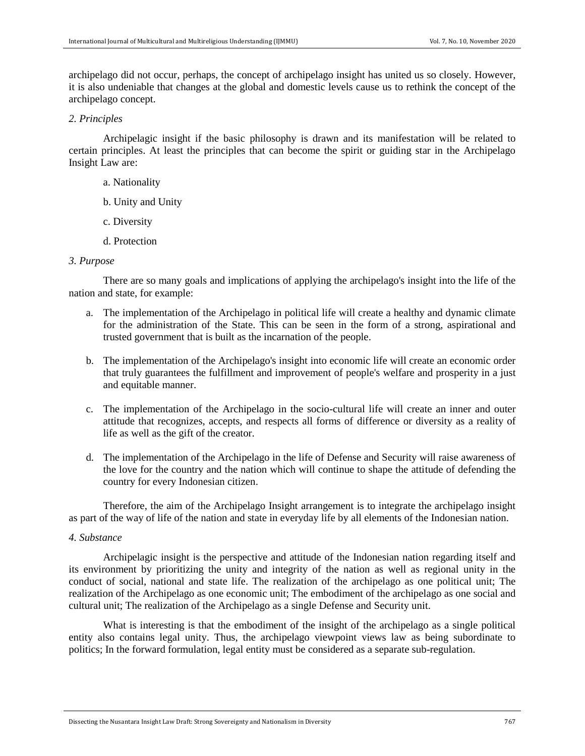archipelago did not occur, perhaps, the concept of archipelago insight has united us so closely. However, it is also undeniable that changes at the global and domestic levels cause us to rethink the concept of the archipelago concept.

## *2. Principles*

Archipelagic insight if the basic philosophy is drawn and its manifestation will be related to certain principles. At least the principles that can become the spirit or guiding star in the Archipelago Insight Law are:

- a. Nationality
- b. Unity and Unity
- c. Diversity
- d. Protection

### *3. Purpose*

There are so many goals and implications of applying the archipelago's insight into the life of the nation and state, for example:

- a. The implementation of the Archipelago in political life will create a healthy and dynamic climate for the administration of the State. This can be seen in the form of a strong, aspirational and trusted government that is built as the incarnation of the people.
- b. The implementation of the Archipelago's insight into economic life will create an economic order that truly guarantees the fulfillment and improvement of people's welfare and prosperity in a just and equitable manner.
- c. The implementation of the Archipelago in the socio-cultural life will create an inner and outer attitude that recognizes, accepts, and respects all forms of difference or diversity as a reality of life as well as the gift of the creator.
- d. The implementation of the Archipelago in the life of Defense and Security will raise awareness of the love for the country and the nation which will continue to shape the attitude of defending the country for every Indonesian citizen.

Therefore, the aim of the Archipelago Insight arrangement is to integrate the archipelago insight as part of the way of life of the nation and state in everyday life by all elements of the Indonesian nation.

#### *4. Substance*

Archipelagic insight is the perspective and attitude of the Indonesian nation regarding itself and its environment by prioritizing the unity and integrity of the nation as well as regional unity in the conduct of social, national and state life. The realization of the archipelago as one political unit; The realization of the Archipelago as one economic unit; The embodiment of the archipelago as one social and cultural unit; The realization of the Archipelago as a single Defense and Security unit.

What is interesting is that the embodiment of the insight of the archipelago as a single political entity also contains legal unity. Thus, the archipelago viewpoint views law as being subordinate to politics; In the forward formulation, legal entity must be considered as a separate sub-regulation.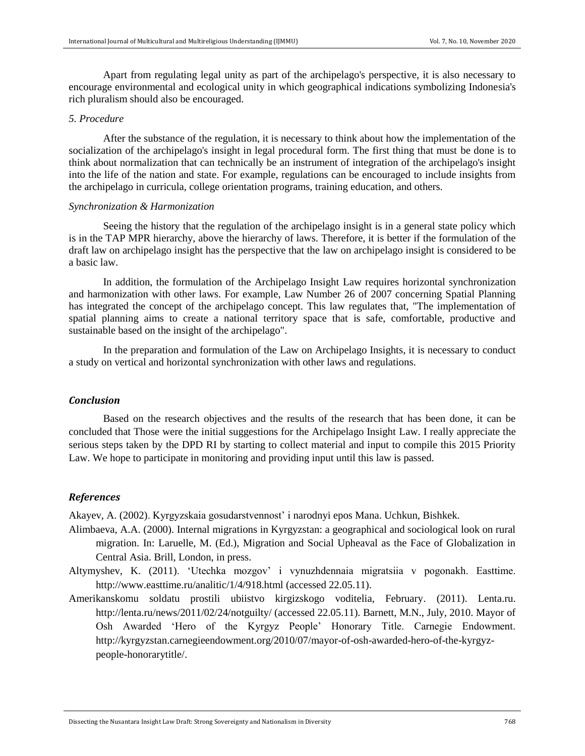Apart from regulating legal unity as part of the archipelago's perspective, it is also necessary to encourage environmental and ecological unity in which geographical indications symbolizing Indonesia's rich pluralism should also be encouraged.

## *5. Procedure*

After the substance of the regulation, it is necessary to think about how the implementation of the socialization of the archipelago's insight in legal procedural form. The first thing that must be done is to think about normalization that can technically be an instrument of integration of the archipelago's insight into the life of the nation and state. For example, regulations can be encouraged to include insights from the archipelago in curricula, college orientation programs, training education, and others.

### *Synchronization & Harmonization*

Seeing the history that the regulation of the archipelago insight is in a general state policy which is in the TAP MPR hierarchy, above the hierarchy of laws. Therefore, it is better if the formulation of the draft law on archipelago insight has the perspective that the law on archipelago insight is considered to be a basic law.

In addition, the formulation of the Archipelago Insight Law requires horizontal synchronization and harmonization with other laws. For example, Law Number 26 of 2007 concerning Spatial Planning has integrated the concept of the archipelago concept. This law regulates that, "The implementation of spatial planning aims to create a national territory space that is safe, comfortable, productive and sustainable based on the insight of the archipelago".

In the preparation and formulation of the Law on Archipelago Insights, it is necessary to conduct a study on vertical and horizontal synchronization with other laws and regulations.

## *Conclusion*

Based on the research objectives and the results of the research that has been done, it can be concluded that Those were the initial suggestions for the Archipelago Insight Law. I really appreciate the serious steps taken by the DPD RI by starting to collect material and input to compile this 2015 Priority Law. We hope to participate in monitoring and providing input until this law is passed.

## *References*

Akayev, A. (2002). Kyrgyzskaia gosudarstvennost' i narodnyi epos Mana. Uchkun, Bishkek.

- Alimbaeva, A.A. (2000). Internal migrations in Kyrgyzstan: a geographical and sociological look on rural migration. In: Laruelle, M. (Ed.), Migration and Social Upheaval as the Face of Globalization in Central Asia. Brill, London, in press.
- Altymyshev, K. (2011). 'Utechka mozgov' i vynuzhdennaia migratsiia v pogonakh. Easttime. http://www.easttime.ru/analitic/1/4/918.html (accessed 22.05.11).
- Amerikanskomu soldatu prostili ubiistvo kirgizskogo voditelia, February. (2011). Lenta.ru. http://lenta.ru/news/2011/02/24/notguilty/ (accessed 22.05.11). Barnett, M.N., July, 2010. Mayor of Osh Awarded 'Hero of the Kyrgyz People' Honorary Title. Carnegie Endowment. http://kyrgyzstan.carnegieendowment.org/2010/07/mayor-of-osh-awarded-hero-of-the-kyrgyzpeople-honorarytitle/.